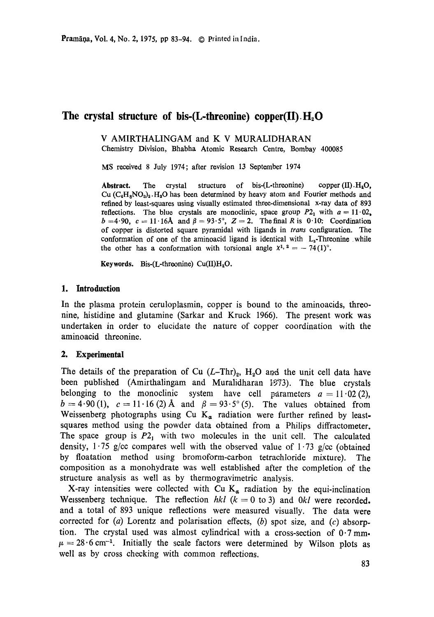# The crystal structure of bis-(L-threonine) copper(II) H<sub>2</sub>O

V AMIRTHALINGAM and K V MURALIDHARAN

Chemistry Division, Bhabha Atomic Research Centre, Bombay 400085

MS received 8 July 1974; after revision 13 September 1974

Abstract. The crystal structure of bis- $(L$ -threonine) copper  $(II) H_2O$ , Cu  $(C_4H_8NO_3)_2$ . H<sub>3</sub>O has been determined by heavy atom and Fourier methods and refined by least-squares using visually estimated three-dimensional x-ray data of 893 reflections. The blue crystals are monoclinic, space group  $P2_1$  with  $a = 11.02$ .  $b = 4.90$ ,  $c = 11.16$ Å and  $\beta = 93.5^{\circ}$ ,  $Z = 2$ . The final R is 0.10. Coordination of copper is distorted square pyramidal with ligands in *trans* configuration. The conformation of one of the aminoacid ligand is identical with  $L_s$ -Threonine while the other has a conformation with torsional angle  $x^{1, 2} = -74(1)$ °.

**Keywords.** Bis-(L-threonine) Cu(II)H<sub>2</sub>O.

# **1. Introduction**

In the plasma protein ceruloplasmin, copper is bound to the aminoacids, threonine, histidine and glutamine (Sarkar and Kruck 1966). The present work was undertaken in order to elucidate the nature of copper coordination with the aminoacid threonine.

# 2. **Experimental**

The details of the preparation of Cu  $(L-\text{Thr})_2$ , H<sub>2</sub>O and the unit cell data have been published (Amirthalingam and Muralidharan 1873). The blue crystals belonging to the monoclinic system have cell parameters  $a = 11 \cdot 02(2)$ ,  $b=4.90(1)$ ,  $c=11.16(2)$  Å and  $\beta=93.5^{\circ}(5)$ . The values obtained from Weissenberg photographs using Cu  $K_{\alpha}$  radiation were further refined by leastsquares method using the powder data obtained from a Philips diffractometer. The space group is  $P_1$  with two molecules in the unit cell. The calculated density,  $1.75$  g/cc compares well with the observed value of  $1.73$  g/cc (obtained by floatation method using bromoform-carbon tetrachloride mixture). The composition as a monohydrate was well established after the completion of the structure analysis as well as by thermogravimetric analysis.

X-ray intensities were collected with Cu  $K_{\alpha}$  radiation by the equi-inclination Wessenberg technique. The reflection  $hkl$  ( $k = 0$  to 3) and  $0kl$  were recorded. and a total of 893 unique reflections were measured visually. The data were corrected for  $(a)$  Lorentz and polarisation effects,  $(b)$  spot size, and  $(c)$  absorption. The crystal used was almost cylindrical with a cross-section of 0.7 mm.  $\mu = 28.6$  cm<sup>-1</sup>. Initially the scale factors were determined by Wilson plots as well as by cross checking with common reflections.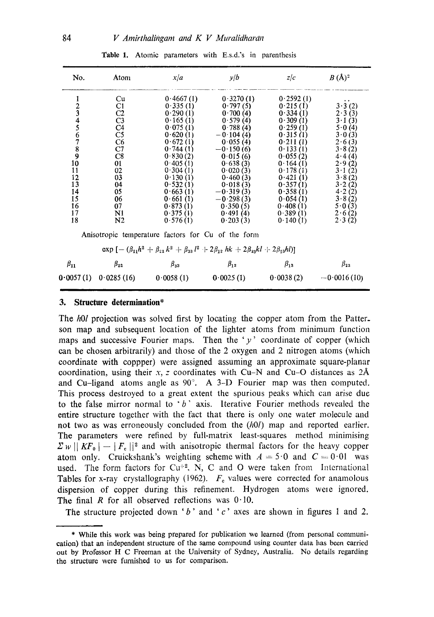| No.                                                             | Atom                                                                                                                                         | x/a                                                                                                                                                                                                                   | y/b                                                                                                                                                                                                                               | z/c                                                                                                                                                                                                                   | $B(A)^2$                                                                                                                                                               |
|-----------------------------------------------------------------|----------------------------------------------------------------------------------------------------------------------------------------------|-----------------------------------------------------------------------------------------------------------------------------------------------------------------------------------------------------------------------|-----------------------------------------------------------------------------------------------------------------------------------------------------------------------------------------------------------------------------------|-----------------------------------------------------------------------------------------------------------------------------------------------------------------------------------------------------------------------|------------------------------------------------------------------------------------------------------------------------------------------------------------------------|
| 123456789<br>10<br>11<br>12<br>13<br>14<br>15<br>16<br>17<br>18 | Cu<br>C1<br>C2<br>C <sub>3</sub><br>C <sub>4</sub><br>C5<br>C6<br>C7<br>C8<br>01<br>02<br>03<br>04<br>05<br>06<br>07<br>N1<br>N <sub>2</sub> | 0.4667(1)<br>0.335(1)<br>0.290(1)<br>0.165(1)<br>0.075(1)<br>0.620(1)<br>0.672(1)<br>0.744(1)<br>0.830(2)<br>0.405(1)<br>0.304(1)<br>0.130(1)<br>0.532(1)<br>0.663(1)<br>0.661(1)<br>0.873(1)<br>0.375(1)<br>0.576(1) | 0.3270(1)<br>0.797(5)<br>0.700(4)<br>0.579(4)<br>0.788(4)<br>$-0.104(4)$<br>0.055(4)<br>$-0.150(6)$<br>0.015(6)<br>0.638(3)<br>0.020(3)<br>0.460(3)<br>0.018(3)<br>$-0.319(3)$<br>$-0.298(3)$<br>0.350(5)<br>0.491(4)<br>0.203(3) | 0.2592(1)<br>0.215(1)<br>0.334(1)<br>0.309(1)<br>0.259(1)<br>0.315(1)<br>0.211(1)<br>0.133(1)<br>0.055(2)<br>0.164(1)<br>0.178(1)<br>0.421(1)<br>0.357(1)<br>0.358(1)<br>0.054(1)<br>0.408(1)<br>0.389(1)<br>0.140(1) | 3.3(2)<br>2.3(3)<br>3.1(3)<br>5.0(4)<br>3.0(3)<br>2.6(3)<br>3.8(2)<br>4.4(4)<br>2.9(2)<br>3.1(2)<br>3.8(2)<br>3.2(2)<br>4.2(2)<br>3.8(2)<br>5.0(3)<br>2.6(2)<br>2.3(2) |
|                                                                 |                                                                                                                                              | Anisotropic temperature factors for Cu of the form                                                                                                                                                                    |                                                                                                                                                                                                                                   |                                                                                                                                                                                                                       |                                                                                                                                                                        |
|                                                                 |                                                                                                                                              | $\exp\left[-\left(\beta_{11}h^2+\beta_{22}k^2+\beta_{33}l^2+2\beta_{12}hk+2\beta_{23}kl+2\beta_{13}hl\right)\right]$                                                                                                  |                                                                                                                                                                                                                                   |                                                                                                                                                                                                                       |                                                                                                                                                                        |
| $\beta_{11}$                                                    | $\beta_{22}$<br>$0.0057(1)$ $0.0285(16)$ $0.0058(1)$                                                                                         | $\beta_{33}$                                                                                                                                                                                                          | $\beta_{12}$<br>0.0025(1)                                                                                                                                                                                                         | $\beta_{13}$<br>0.0038(2)                                                                                                                                                                                             | $\beta_{23}$<br>$-0.0016(10)$                                                                                                                                          |

Table 1. Atomic parameters with E.s.d.'s in parenthesis

#### **3. Structure determination\***

The *hOl* projection was solved first by locating the copper atom from the Patterson map and subsequent location of the lighter atoms from minimum function maps and successive Fourier maps. Then the ' $y'$  coordinate of copper (which can be chosen arbitrarily) and those of the 2 oxygen and 2 nitrogen atoms (which coordinate with coppper) were assigned assuming an approximate square-planar coordination, using their  $x$ , z coordinates with Cu-N and Cu-O distances as  $2\text{\AA}$ and Cu-ligand atoms angle as 90°. A 3-D Fourier map was then computed. This process destroyed to a great extent the spurious peaks which can arise due to the false mirror normal to *"b"* axis. Iterative Fourier methods revealed the entire structure together with the fact that there is only one water molecule and not two as was erroneously concluded from the *(hOl)* map and reported earlier. The parameters were refined by full-matrix least-squares method minimising  $\sum w || K F_0 | - |F_{\rm c}||^2$  and with anisotropic thermal factors for the heavy copper atom only. Cruickshank's weighting scheme with  $A = 5.0$  and  $C = 0.01$  was used. The form factors for Cu<sup>+2</sup>, N, C and O were taken from International Tables for x-ray crystallography (1962).  $F<sub>e</sub>$  values were corrected for anamolous dispersion of copper during this refinement. Hydrogen atoms were ignored. The final R for all observed reflections was  $0.10$ .

The structure projected down 'b' and 'c' axes are shown in figures 1 and 2.

<sup>\*</sup> While this work was being prepared for publication we learned (from personal communication) that an independent structure of the same compound using counter data has been carried out by Professor H C Freeman at the University of Sydney, Australia. No details regarding the structure were furnished to us for comparison.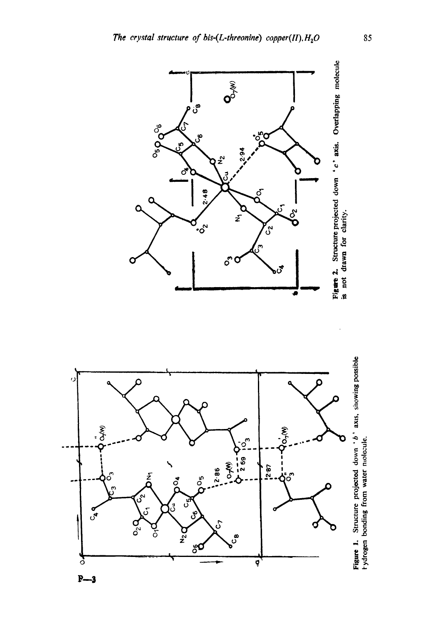





Figure 2. Structure projected down  $\cdot$  c  $\cdot$  axis. Overlapping molecule is not drawn for clarity.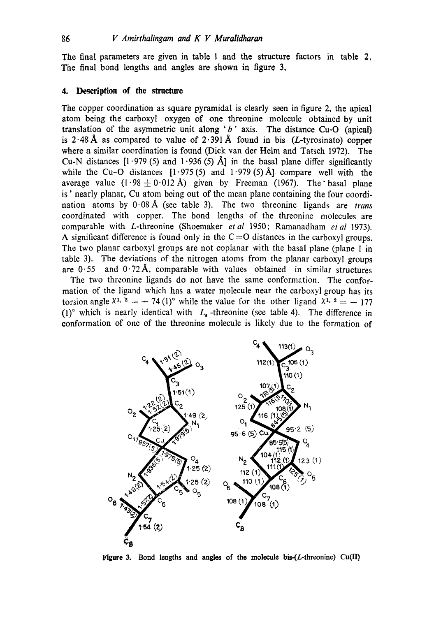The final parameters are given in table 1 and the structure factors in table 2, The final bond lengths and angles are shown in figure 3,

## **4. Description of the structure**

The copper coordination as square pyramidal is clearly seen in figure 2, the apical atom being the carboxyl oxygen of one threonine molecule obtained by unit translation of the asymmetric unit along ' $b$ ' axis. The distance Cu-O (apical) is 2.48 Å as compared to value of 2.391 Å found in bis (L-tyrosinato) copper where a similar coordination is found (Dick van der Helm and Tatsch 1972). The Cu-N distances  $[1.979(5)$  and  $1.936(5)$  Å] in the basal plane differ significantly while the Cu-O distances  $[1.975(5)$  and  $1.979(5)$  Å] compare well with the average value  $(1.98 \pm 0.012 \text{ Å})$  given by Freeman (1967). The basal plane is' nearly planar, Cu atom being out of the mean plane containing the four coordination atoms by 0.08A (see table 3). The two threonine ligands are *trans*  coordinated with copper. The bond lengths of the threonine molecules are comparable with L-threonine (Shoemaker *etal* 1950; Ramanadham *etal* 1973). A significant difference is found only in the  $C=O$  distances in the carboxyl groups. The two planar carboxyl groups are not coplanar with the basal plane (plane 1 in table 3). The deviations of the nitrogen atoms from the planar carboxyl groups are  $0.55$  and  $0.72$ Å, comparable with values obtained in similar structures

The two threonine ligands do not have the same conformation. The conformation of the ligand which has a water molecule near the carboxyl group has its torsion angle  $X^{1, 2} = -74$  (1)<sup>o</sup> while the value for the other ligand  $X^{1, 2} = -177$ (1)<sup>°</sup> which is nearly identical with  $L_{\bullet}$  -threonine (see table 4). The difference in conformation of one of the threonine molecule is likely due to the formation of



Figure 3. Bond lengths and angles of the molecule bis- $(L$ -threonine) Cu(II<sub>)</sub>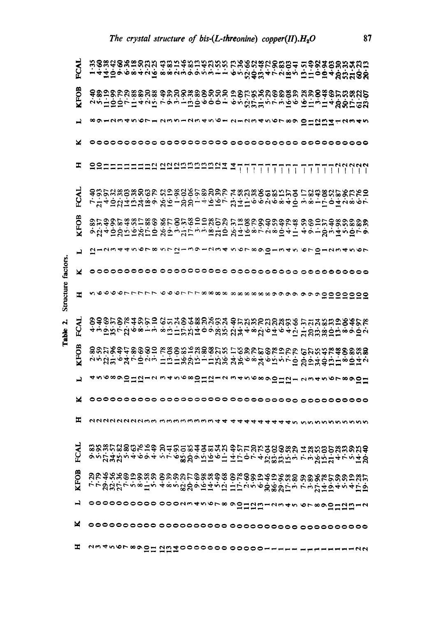|                    | FCAL        | ホルスのなけのなど おおじみおにおどでだ でんのでおでのおのよ にゅうひんひただのかし おけんしゃ すうしょう しょうこうしょう こうぶんぽうしょう ほしん かただのかない                                                     |  |  |  |  |  |  |  |  |  |  |  |  |  |  |  |  |  |                                                    |  |  |
|--------------------|-------------|--------------------------------------------------------------------------------------------------------------------------------------------|--|--|--|--|--|--|--|--|--|--|--|--|--|--|--|--|--|----------------------------------------------------|--|--|
|                    | <b>KFOB</b> | ବିଛିଅଛି ଅଛିଛି ଅଛି ବିଜୟରେ ବିଜୟରେ ଅକ୍ଟିମ୍ନ୍ୟରେ ବିଜୟର ଏକ ବିକିତ୍ତର କରିଥି<br>さらは心のではすなほ ですうしほんすうりょ すうのうれいきゅう ははきはす あめだむな                        |  |  |  |  |  |  |  |  |  |  |  |  |  |  |  |  |  |                                                    |  |  |
|                    | ᆋ           |                                                                                                                                            |  |  |  |  |  |  |  |  |  |  |  |  |  |  |  |  |  | 8912345671 2351254561 2123456789 0 紅 11 11 11 2345 |  |  |
|                    | ×           |                                                                                                                                            |  |  |  |  |  |  |  |  |  |  |  |  |  |  |  |  |  |                                                    |  |  |
|                    | Ŧ,          |                                                                                                                                            |  |  |  |  |  |  |  |  |  |  |  |  |  |  |  |  |  |                                                    |  |  |
|                    | FCAL        | ੩<br>て江40公は5公母? 公立1公公14007 公は山6626840 1817042867                                                                                           |  |  |  |  |  |  |  |  |  |  |  |  |  |  |  |  |  | 323888888 23886658886 18888658555 1888658665       |  |  |
|                    | <b>KFOB</b> | 9.549.88.88.88.85の 8.5のほぼいいのではのでいるのはもれ ちゅうにんめいめい のでんきょうひょう たちょうひょう たいちょう おんしょう こうじょう ようしょう せんしょうせい                                         |  |  |  |  |  |  |  |  |  |  |  |  |  |  |  |  |  |                                                    |  |  |
|                    |             |                                                                                                                                            |  |  |  |  |  |  |  |  |  |  |  |  |  |  |  |  |  |                                                    |  |  |
|                    | ᆜ           | ひー いっしょう こっと こっこ しゅうし こうしょう てっこく こうしょう とっしー こうえいん                                                                                          |  |  |  |  |  |  |  |  |  |  |  |  |  |  |  |  |  |                                                    |  |  |
|                    | ×           |                                                                                                                                            |  |  |  |  |  |  |  |  |  |  |  |  |  |  |  |  |  |                                                    |  |  |
| Structure factors. | т           | ひのひのひしてててて ころのような coco coco coco coco a adoo a doo doo a doo doo                                                                           |  |  |  |  |  |  |  |  |  |  |  |  |  |  |  |  |  |                                                    |  |  |
| ۸i<br>Table        | FCAL        | 8885884852 G548888853 858888888 5588828828<br>4ヵ位还でなる815 8位山に公社09改法 公社48公6年64位 上公法派任任8002                                                  |  |  |  |  |  |  |  |  |  |  |  |  |  |  |  |  |  |                                                    |  |  |
|                    | <b>KFOB</b> | <b>なるながゆかめのめい かののおれなののなど けのをみののかりかい のなとみおめのとぬの あとない かんてい こうせいさく せいせんきょう かんこう かいせいせい あいせいきょう</b>                                            |  |  |  |  |  |  |  |  |  |  |  |  |  |  |  |  |  |                                                    |  |  |
|                    | ᆗ           |                                                                                                                                            |  |  |  |  |  |  |  |  |  |  |  |  |  |  |  |  |  | <u>ょう6890Ⅱ212 345680Ⅱ212 3456890Ⅱ21 234567890Ⅱ</u> |  |  |
|                    | ×           |                                                                                                                                            |  |  |  |  |  |  |  |  |  |  |  |  |  |  |  |  |  |                                                    |  |  |
|                    | œ           | NNNNNNNNMM mmmmmmmm <del>ndd</del>                                                                                                         |  |  |  |  |  |  |  |  |  |  |  |  |  |  |  |  |  | すすい いいんいいいいいい                                      |  |  |
|                    | FCAI        | 88.85.886KP\$ R4858#38#3 \$5FRF\$2888# #88858\$\$\$\$<br>\$\$\$5&86KP\$ R485&#3\$\$\$F\$\$\$\$\$#\$\$\$\$\$\$\$\$\$\$                      |  |  |  |  |  |  |  |  |  |  |  |  |  |  |  |  |  |                                                    |  |  |
|                    | <b>KFOB</b> | <u> ଅଚ୍ୟୁଜ୍ଞବ୍ଲକ୍ଷିମ୍ପ ବିକ୍ରସ୍ଥିତି କ୍ଷିମ୍ପିକ୍ଟ ବିଚ୍ଚିତ୍ର ଅନ୍ୟର୍କ୍ଷିମ୍ପିକ୍ଟ ବିଦ୍ରାମ୍ୟକ୍</u><br>ででぬなができる止ち すぁぅぬからはちょひ はけきょうかぬぬぶけき できがはゆすらせけゆ |  |  |  |  |  |  |  |  |  |  |  |  |  |  |  |  |  |                                                    |  |  |
|                    | ⊣           | 0000000000 0002345678 90ⅡΩ№12345 67890ⅡΩ№12                                                                                                |  |  |  |  |  |  |  |  |  |  |  |  |  |  |  |  |  |                                                    |  |  |
|                    | ×           |                                                                                                                                            |  |  |  |  |  |  |  |  |  |  |  |  |  |  |  |  |  |                                                    |  |  |
|                    | I           | 234567890Ⅱ 2日は0000000 000001---- ---------22                                                                                               |  |  |  |  |  |  |  |  |  |  |  |  |  |  |  |  |  |                                                    |  |  |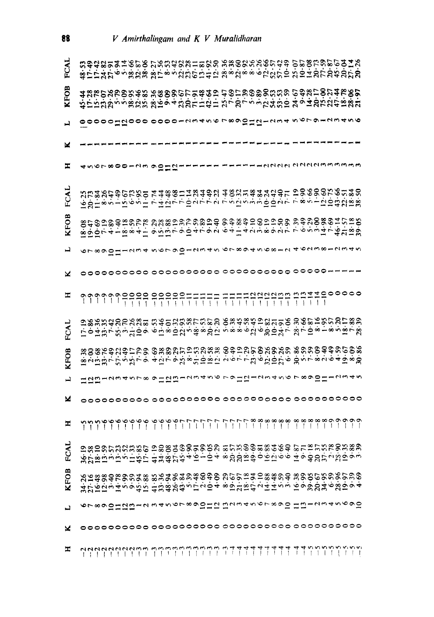| FCAI        | 23482842628 28238815898 28888888643 2885926<br>おけんおびょう かなき あけるうなおのければ あるなるもうなない おりはかけなおおひめ           |  |  |  |  |  |  |  |  |  |  |  |  |  |  |  |  |  |                   |  |  |
|-------------|------------------------------------------------------------------------------------------------------|--|--|--|--|--|--|--|--|--|--|--|--|--|--|--|--|--|-------------------|--|--|
| KFOB        | <b>ねけびなめのみあお あぬめのかけりみねり せめけをめめのなおな ひゆなけのひみかめがね せなれのなお あいかん なんかん ひんこう うちなおり おもれななり おもののはな</b>         |  |  |  |  |  |  |  |  |  |  |  |  |  |  |  |  |  |                   |  |  |
| ᆜ           | 。 00000 はね000 0000l 23456 789 9 1 1 1 2 34 5 67 9l23456                                              |  |  |  |  |  |  |  |  |  |  |  |  |  |  |  |  |  |                   |  |  |
| ×           |                                                                                                      |  |  |  |  |  |  |  |  |  |  |  |  |  |  |  |  |  |                   |  |  |
| I           | 4567800123 9 1112-1111                                                                               |  |  |  |  |  |  |  |  |  |  |  |  |  |  |  |  |  | EEEENNAN NANAMMAA |  |  |
| FCA         | <b>んび目をとしてするだけ にはひていほうてき こうひうしきゅうしょう すきくりはひせない</b>                                                   |  |  |  |  |  |  |  |  |  |  |  |  |  |  |  |  |  |                   |  |  |
| KFOI        | 8.4の目の4月25.8 23.8505558255 8.4%3.950558 23.950586.4.55058 8.4%3.95058 8.4%3.95055 8.4%3.95055 8.4%3. |  |  |  |  |  |  |  |  |  |  |  |  |  |  |  |  |  |                   |  |  |
|             | 67890Ⅱ1234 5679012345 6789456812 4623812345                                                          |  |  |  |  |  |  |  |  |  |  |  |  |  |  |  |  |  |                   |  |  |
| ×           |                                                                                                      |  |  |  |  |  |  |  |  |  |  |  |  |  |  |  |  |  |                   |  |  |
|             |                                                                                                      |  |  |  |  |  |  |  |  |  |  |  |  |  |  |  |  |  |                   |  |  |
| FCAI        | けるれなであるない ちゅうなみをけるない ちゅうひうかひれい ないのもしをうない いんせいきょう せいかん きょうひょう きょうひょう きょうせいきょう                         |  |  |  |  |  |  |  |  |  |  |  |  |  |  |  |  |  |                   |  |  |
| <b>KFOB</b> | <b>独のぬ不ゆなかけでの の死のひでけたひみ死 のゆりどけのたのなみ あみとのゆみをおしのおおのかな しょうしょう せんきょう かいりつ こうてん こうじょう かくしょうきゅう</b>        |  |  |  |  |  |  |  |  |  |  |  |  |  |  |  |  |  |                   |  |  |
| ᆸ           | は12月234578912日123456 791に123456 7890112345                                                           |  |  |  |  |  |  |  |  |  |  |  |  |  |  |  |  |  |                   |  |  |
| ×           |                                                                                                      |  |  |  |  |  |  |  |  |  |  |  |  |  |  |  |  |  |                   |  |  |
| Ξ           |                                                                                                      |  |  |  |  |  |  |  |  |  |  |  |  |  |  |  |  |  |                   |  |  |
| FCAI        | <b>がびばほうほうけなけ 4年命びな4万104 ※公安ほゆひかにする 4000℃でござりくうないようほうけい 4年命びお4万104 ※公安ほゆひからうち 4000℃でごうかく</b>         |  |  |  |  |  |  |  |  |  |  |  |  |  |  |  |  |  |                   |  |  |
| KFOB        | arasaksonta matamasabab untukitasana manghangkun<br>おびはほうほうもおけ 仕込めななっていひょ すかだはねこははちょう にっかがなものです      |  |  |  |  |  |  |  |  |  |  |  |  |  |  |  |  |  |                   |  |  |
| تم          | 67890H2B1234567890H2 B234567890 UB12345690                                                           |  |  |  |  |  |  |  |  |  |  |  |  |  |  |  |  |  |                   |  |  |
| ×           |                                                                                                      |  |  |  |  |  |  |  |  |  |  |  |  |  |  |  |  |  |                   |  |  |
| T           |                                                                                                      |  |  |  |  |  |  |  |  |  |  |  |  |  |  |  |  |  |                   |  |  |

88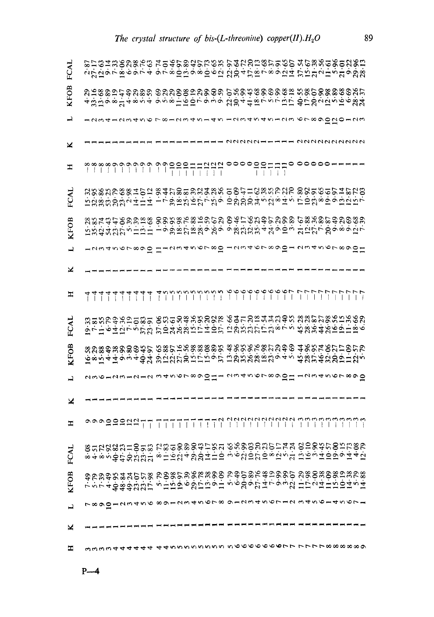| FCAL        | <b>なびはすですようです きてきのほりきかい ないかいがいできるい おおおおはかけるのめのおおい おものです ウイタのほりきかい ながすだいです そうほう おおおいせい おものの</b> |  |  |  |  |            |  |  |  |  |                                           |  |  |  |  |  |  |  |  |  |                                                                                              |  |
|-------------|------------------------------------------------------------------------------------------------|--|--|--|--|------------|--|--|--|--|-------------------------------------------|--|--|--|--|--|--|--|--|--|----------------------------------------------------------------------------------------------|--|
| <b>KFOB</b> | 4 ほぼのりいゆどのも のととのめけのめので いんのはおのののお と ないのめ のあなだい せいしょうしょう こうしょう こうしょう こうしょう こうじょ ひじょうこう あんた       |  |  |  |  |            |  |  |  |  |                                           |  |  |  |  |  |  |  |  |  |                                                                                              |  |
| ᅴ           |                                                                                                |  |  |  |  |            |  |  |  |  |                                           |  |  |  |  |  |  |  |  |  | 12341234567812345145 1234545123 6789020123                                                   |  |
| ×           |                                                                                                |  |  |  |  |            |  |  |  |  |                                           |  |  |  |  |  |  |  |  |  | nnnnnnnnn                                                                                    |  |
| エ           |                                                                                                |  |  |  |  |            |  |  |  |  |                                           |  |  |  |  |  |  |  |  |  |                                                                                              |  |
| FCAL        |                                                                                                |  |  |  |  |            |  |  |  |  |                                           |  |  |  |  |  |  |  |  |  | <b>ほなものがなるはけは ーてかほどはかくなる ののかけのまをのかなの めのりのりはけいない あめのかけ こうかい あんかん こうかんきょう こうじょうしょう けいせいしょう</b> |  |
| <b>KFOB</b> |                                                                                                |  |  |  |  |            |  |  |  |  |                                           |  |  |  |  |  |  |  |  |  | 後8社は中的の出現のののの発展的におけるのか中でなどののので、およびのの出す。<br>おおはおはなど、中日日 19%以降後9%90%はなどは40000 はにたての98000       |  |
| یہ          |                                                                                                |  |  |  |  |            |  |  |  |  |                                           |  |  |  |  |  |  |  |  |  | 1234567890 H123456780 1234678901 2345678901                                                  |  |
| ×           |                                                                                                |  |  |  |  |            |  |  |  |  |                                           |  |  |  |  |  |  |  |  |  |                                                                                              |  |
| ᇁ           |                                                                                                |  |  |  |  |            |  |  |  |  |                                           |  |  |  |  |  |  |  |  |  |                                                                                              |  |
| FCAL        |                                                                                                |  |  |  |  |            |  |  |  |  |                                           |  |  |  |  |  |  |  |  |  |                                                                                              |  |
| KFOB        |                                                                                                |  |  |  |  |            |  |  |  |  |                                           |  |  |  |  |  |  |  |  |  |                                                                                              |  |
| یہ          |                                                                                                |  |  |  |  |            |  |  |  |  |                                           |  |  |  |  |  |  |  |  |  | 2361231212 345678901 2345678901 1234567890                                                   |  |
| ×           |                                                                                                |  |  |  |  |            |  |  |  |  |                                           |  |  |  |  |  |  |  |  |  |                                                                                              |  |
| I           |                                                                                                |  |  |  |  |            |  |  |  |  |                                           |  |  |  |  |  |  |  |  |  |                                                                                              |  |
| FCAL        |                                                                                                |  |  |  |  |            |  |  |  |  |                                           |  |  |  |  |  |  |  |  |  | ※4※3分はかでだばし。日方な4%のサロの5%のののだけでは、日は54009440%。4※3分からのだけ。日かな4%のサロの。 しゅうじょう しゅうじょう                |  |
| <b>KFOB</b> |                                                                                                |  |  |  |  |            |  |  |  |  |                                           |  |  |  |  |  |  |  |  |  | きかなみたねおけで おものなかながないの いみつこそみはののひ とののおものとはなの<br>てうてすゆぬゆばなけ うけひゆる ひけはすけ うすかすだは ていった こいいだいいいこう   |  |
|             |                                                                                                |  |  |  |  |            |  |  |  |  | て8901234568912345678 9123456712 345614567 |  |  |  |  |  |  |  |  |  |                                                                                              |  |
| ×           |                                                                                                |  |  |  |  |            |  |  |  |  |                                           |  |  |  |  |  |  |  |  |  |                                                                                              |  |
| т           |                                                                                                |  |  |  |  | mmmnttdddd |  |  |  |  |                                           |  |  |  |  |  |  |  |  |  | 4455000050 500000000 1777088800                                                              |  |

89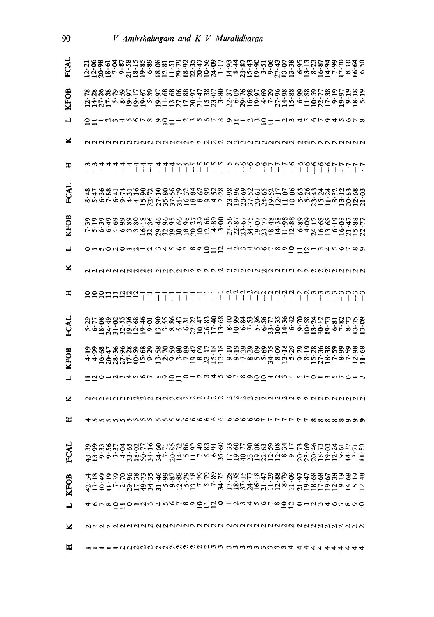| FCAL        |  |  |  |  |  |  |  |  |  |  |  |  |  |  |  |  |  |  | ねねぬほけのおおおめ ぬほほののおねなめけ の体のねめためおける をはなでみめのはない はなから きははかのな これの はんこう はきはり うちはは ふほうしょう すいしょうか          |
|-------------|--|--|--|--|--|--|--|--|--|--|--|--|--|--|--|--|--|--|---------------------------------------------------------------------------------------------------|
| <b>KFOB</b> |  |  |  |  |  |  |  |  |  |  |  |  |  |  |  |  |  |  | ははなけるぁ ぬぬり ウエロびけのたらなる なすめはりょうびはち すけのなけずゆすめる                                                       |
| ᆜ           |  |  |  |  |  |  |  |  |  |  |  |  |  |  |  |  |  |  |                                                                                                   |
| ×           |  |  |  |  |  |  |  |  |  |  |  |  |  |  |  |  |  |  |                                                                                                   |
| H           |  |  |  |  |  |  |  |  |  |  |  |  |  |  |  |  |  |  |                                                                                                   |
| FCAL        |  |  |  |  |  |  |  |  |  |  |  |  |  |  |  |  |  |  | <b>ぬれあぬれれればので いのえでなおおのおお のかのではのでけいか のでねなみではなのののようをあります すい かきかす きょうきょう つうのう こうかい こうこうしょう こうじょう</b> |
| KFOB        |  |  |  |  |  |  |  |  |  |  |  |  |  |  |  |  |  |  | 不吝吝吝未吝啬不妨犯 かなかのおのほほう 江公公社 りひばは日に ふずなほほんほぼたな                                                       |
| ᆜ           |  |  |  |  |  |  |  |  |  |  |  |  |  |  |  |  |  |  | 0150201212 34567890.12 1234567890 1213456789                                                      |
| ×           |  |  |  |  |  |  |  |  |  |  |  |  |  |  |  |  |  |  |                                                                                                   |
| Ξ           |  |  |  |  |  |  |  |  |  |  |  |  |  |  |  |  |  |  |                                                                                                   |
| FCAI        |  |  |  |  |  |  |  |  |  |  |  |  |  |  |  |  |  |  | きゅうれいであれい のだめねまだれほかん ゆのはちがあれておれ でなみせけり なけんのか かいはんしょう ほうきょう たんかいけい きゅうてき あいはく ういせん せんきょうきほう        |
| <b>KFOB</b> |  |  |  |  |  |  |  |  |  |  |  |  |  |  |  |  |  |  | 44位 ななだけ 心立て ほこうそうほうほう こうてきこうぶき こうきだい こうこうこう                                                      |
|             |  |  |  |  |  |  |  |  |  |  |  |  |  |  |  |  |  |  | はは01234567 8901012345 6789001234 5701357013                                                       |
| ×           |  |  |  |  |  |  |  |  |  |  |  |  |  |  |  |  |  |  |                                                                                                   |
| ≖           |  |  |  |  |  |  |  |  |  |  |  |  |  |  |  |  |  |  | nnnnnnnnn nnnnvoooooo ooooorrrrr rræaaaaanna                                                      |
| FCAL        |  |  |  |  |  |  |  |  |  |  |  |  |  |  |  |  |  |  |                                                                                                   |
| <b>KFOB</b> |  |  |  |  |  |  |  |  |  |  |  |  |  |  |  |  |  |  | ねけいけでふぬけぬれ ほうりじょうじゃくれ けほびなおかれはるけ はりばけのはるはらひねずける せいけいせい はつじょう おいりがく おおけい こうじゅうじょう                  |
|             |  |  |  |  |  |  |  |  |  |  |  |  |  |  |  |  |  |  | 46780Ⅱ0123 4567890Ⅱ10 12345678010 0123467890                                                      |
| ×           |  |  |  |  |  |  |  |  |  |  |  |  |  |  |  |  |  |  |                                                                                                   |
| д           |  |  |  |  |  |  |  |  |  |  |  |  |  |  |  |  |  |  |                                                                                                   |

90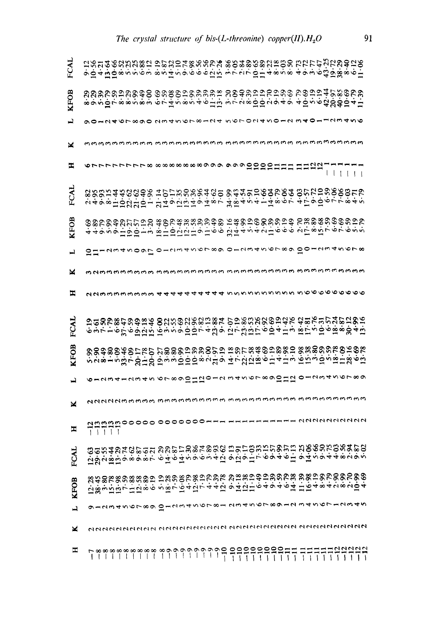| FCAL        |  |  |       |  |  |                            |  |  |  |  |  |  |  |  |  |  |  |  |  | ゃいょほいきょうきょうこうせいしゃんかん ものはのののだいのの にたけれたなめよういいかん せいせいきょうしょう しょうせいしょう きょうしょう せいせいせいせい                                                             |
|-------------|--|--|-------|--|--|----------------------------|--|--|--|--|--|--|--|--|--|--|--|--|--|-----------------------------------------------------------------------------------------------------------------------------------------------|
| <b>KFOB</b> |  |  |       |  |  |                            |  |  |  |  |  |  |  |  |  |  |  |  |  | きゅうびききゅうのもの のもののはのもの たいかん こうかん いいのせ せいこうかいせい しょうきょう しょうきょう しょうきょう しゅうしょう おんかいせい はいせい                                                          |
|             |  |  |       |  |  |                            |  |  |  |  |  |  |  |  |  |  |  |  |  | 90 HU4 OL 890 UW4 VOL 8 HU4 VOL 0 U4 NO HU W40 HLUW4 NO                                                                                       |
| ×           |  |  |       |  |  |                            |  |  |  |  |  |  |  |  |  |  |  |  |  |                                                                                                                                               |
| Ξ           |  |  |       |  |  |                            |  |  |  |  |  |  |  |  |  |  |  |  |  |                                                                                                                                               |
| FCAL        |  |  |       |  |  |                            |  |  |  |  |  |  |  |  |  |  |  |  |  |                                                                                                                                               |
| KFOB        |  |  |       |  |  |                            |  |  |  |  |  |  |  |  |  |  |  |  |  | ゆのかのゆめにでけな おのでおななのかゆめ けおのけののなどけは かなばのののでけない ゆうきょう せいけいせい ないけいせい なんかん こうすう こだま とうこうこう                                                          |
| ᅴ           |  |  |       |  |  |                            |  |  |  |  |  |  |  |  |  |  |  |  |  | SH-quanov Lo-quandrov o-quandrov So-quandro                                                                                                   |
| ×           |  |  |       |  |  |                            |  |  |  |  |  |  |  |  |  |  |  |  |  |                                                                                                                                               |
| 工           |  |  |       |  |  |                            |  |  |  |  |  |  |  |  |  |  |  |  |  | $\alpha$ dannnnnnn $\alpha$ 4444444444 nnnnnnnnnnnn noooooooo                                                                                 |
| FCAL        |  |  |       |  |  |                            |  |  |  |  |  |  |  |  |  |  |  |  |  | <b>もうすい あいのはは ほうこうひりょうせい はてなほけるほよけら ほけこのほる あみははのかい しゅうじょう あらいりょう はいこう ほうせい ほうじゅうほう おもおおの</b>                                                  |
| <b>KFOB</b> |  |  |       |  |  |                            |  |  |  |  |  |  |  |  |  |  |  |  |  | \$\$\$\$\$\$\$\$F\$\$ 12888588855 28658\$\$\$\$\$\$\$\$\$\$\$\$\$\$\$\$\$\$\$<br>Ŵyŵ+ŵਲ਼⊬⋚ਜ਼⋚ ਗ਼ŵŵਗ਼⋦ਗ਼ŵਲ਼ਜ਼৵ヸゖਖ਼ਗ਼ਙゅਜ਼ヂਜ਼ <sub>₩</sub> ਜ਼₩ਗ਼ |
|             |  |  |       |  |  |                            |  |  |  |  |  |  |  |  |  |  |  |  |  | 6123412345 6789012012 3456789012 0123456789                                                                                                   |
| ×           |  |  |       |  |  |                            |  |  |  |  |  |  |  |  |  |  |  |  |  | ממממממה ההההה המהווה המהווה המהווה המהווה המהווה המהווה המהווה המהווה המהווה ה                                                                |
| Ξ           |  |  | 77777 |  |  | <b>nnnn00000 0000000--</b> |  |  |  |  |  |  |  |  |  |  |  |  |  | --- 222222222                                                                                                                                 |
|             |  |  |       |  |  |                            |  |  |  |  |  |  |  |  |  |  |  |  |  | ねぎょ あけっしょう こ せんけんしょうしょう マロマートゥマチャー マルミッキチャッシュ このかん あいしょう しょうせんしょう こうしょうしょうせん せいしょう                                                            |
| <b>KFOB</b> |  |  |       |  |  |                            |  |  |  |  |  |  |  |  |  |  |  |  |  | ひ吸うけほうけんしょう こばちのかないですが ひはひけんしゅうせんは けんしょうきょうしょう はいしょう こうしょう しょうしょう しょうしょう しょうしょうせい せんしょう                                                       |
|             |  |  |       |  |  |                            |  |  |  |  |  |  |  |  |  |  |  |  |  | ター23456780 0123456781 2345678912 5456712345                                                                                                   |
| ×           |  |  |       |  |  |                            |  |  |  |  |  |  |  |  |  |  |  |  |  |                                                                                                                                               |
| 고           |  |  |       |  |  |                            |  |  |  |  |  |  |  |  |  |  |  |  |  |                                                                                                                                               |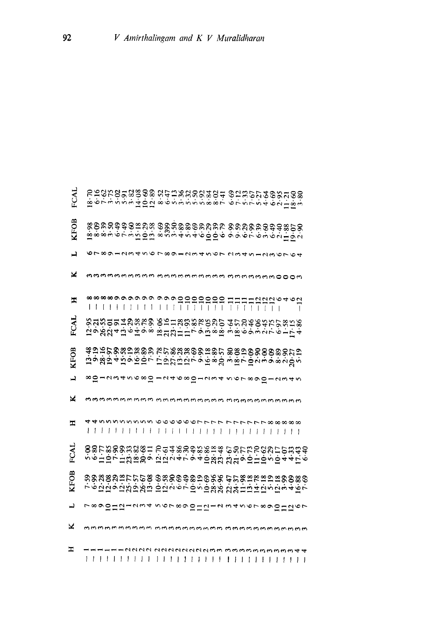V Amirthalingam and K V Muralidharan

| FCAI        |                                                                        |  |  |  |  |            |  |          |  |      |  | 食 すてきとうをはけば きゅうききょうきゅう してきてきょうき 山肉を食 すうちょう せいに きゅうきききょうきょう してき せいさん 出向る     |  |                   |  |  |                     |  |
|-------------|------------------------------------------------------------------------|--|--|--|--|------------|--|----------|--|------|--|-----------------------------------------------------------------------------|--|-------------------|--|--|---------------------|--|
| <b>KFOB</b> |                                                                        |  |  |  |  |            |  |          |  |      |  | 8 ゆきなみやのほどを ゆめなめめのせどをせ のととめなのかかないのか しょうこうせい しょうしょう こうじょう しょうしょう こうこうじょう     |  |                   |  |  |                     |  |
| ᅴ           |                                                                        |  |  |  |  |            |  |          |  |      |  | 6789123456 7891234567 23451236764                                           |  |                   |  |  |                     |  |
| ×           |                                                                        |  |  |  |  |            |  |          |  |      |  | mmmmmmmmmmmmmmmmmmmmmmmmmm                                                  |  |                   |  |  |                     |  |
| Ξ           |                                                                        |  |  |  |  |            |  |          |  |      |  |                                                                             |  |                   |  |  |                     |  |
| FCAL        |                                                                        |  |  |  |  |            |  |          |  |      |  | ねりあな4日6498 第1131日179日88 5m8692751.54000.5公 4日6408 810.511万円 100.5公 10.54    |  |                   |  |  |                     |  |
| <b>KFOB</b> |                                                                        |  |  |  |  |            |  |          |  |      |  | はり近かぬなけなめの かであななゆめはぬで めめけのののののかではない かいせん ちょうかいし けりひりょう する まん しょうりょうきょうかく    |  |                   |  |  |                     |  |
| ڀ           |                                                                        |  |  |  |  |            |  |          |  |      |  | 8012345680124680123456789012345                                             |  |                   |  |  |                     |  |
| ×           |                                                                        |  |  |  |  |            |  |          |  |      |  |                                                                             |  |                   |  |  |                     |  |
| Ξ           |                                                                        |  |  |  |  | ,,,,,,,,,, |  | 111111   |  | 1111 |  | 44 ひ ひ ひ ひ ひ ひ ひ り り り つ つ り つ つ し フ フ フ フ フ フ フ フ フ フ フ フ フ の め の の の<br>L |  |                   |  |  | , , , , , , , , , , |  |
| FCAL        |                                                                        |  |  |  |  |            |  |          |  |      |  | うるけのかおおぶのけ からみああめある おお なんけいひとけいなおかか ののけなののおおの こねとすてす せいなな なはすいけんこう ちょうけん    |  |                   |  |  |                     |  |
| KFOB        | するなぬぬれけけのぬ のなののゆめりのかか おおめ 乱なせい とのめのある うらない はなりない いちょうてい なん なおけははちにちょうて |  |  |  |  |            |  |          |  |      |  |                                                                             |  |                   |  |  |                     |  |
| ᆜ           | 7890ⅡΩ1234 567890ⅡΩ12 34567890ⅡΩ67                                     |  |  |  |  |            |  |          |  |      |  |                                                                             |  |                   |  |  |                     |  |
| ×           |                                                                        |  |  |  |  |            |  |          |  |      |  |                                                                             |  |                   |  |  |                     |  |
| ェ           |                                                                        |  |  |  |  |            |  | uananano |  |      |  |                                                                             |  | m m m m m m m m m |  |  |                     |  |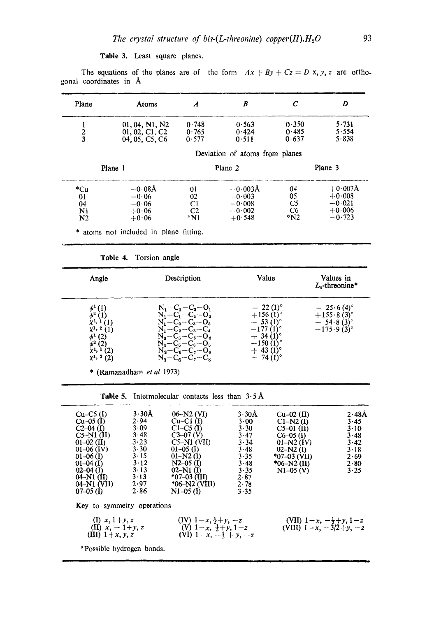Table 3. Least square planes.

The equations of the planes are of the form  $Ax + By + Cz = D$  **x**, y, z are orthogonal coordinates in A

| Plane         | Atoms                           | $\boldsymbol{A}$ | B                              | C              | D              |
|---------------|---------------------------------|------------------|--------------------------------|----------------|----------------|
|               | 01, 04, N1, N2                  | 0.748            | 0.563                          | 0.350          | 5.731          |
| $\frac{2}{3}$ | 01, 02, C1, C2<br>04.05. C5. C6 | 0.765<br>0.577   | 0.424<br>0.511                 | 0.485<br>0.637 | 5.554<br>5.838 |
|               |                                 |                  | Deviation of atoms from planes |                |                |
|               | Plane 1                         |                  | Plane 2                        |                | Plane 3        |
| *Cu           | $-0.08$ Å                       | 01               | $+0.003\text{\AA}$             | 04             | $+0.007$ Å     |
| 01            | $-0.06$                         | 02               | $+0.003$                       | 05             | $+0.008$       |
| 04            | $-0.06$                         | Сl               | $-0.008$                       | C5             | $-0.021$       |
|               | $\cdot$ - 0 $\cdot$ 06          | C2               | $-1 - 0.002$                   | C <sub>6</sub> | $+0.006$       |
| N1            | $+0.06$                         | $*_{N1}$         | $+0.548$                       | $*_{N2}$       | $-0.723$       |

Table 4. Torsion angle

| Angle                                                                                                                               | Description                                                                                                                                                                                                      | Value                                                                                                                             | Values in<br>$Ls$ -threonine*                                        |
|-------------------------------------------------------------------------------------------------------------------------------------|------------------------------------------------------------------------------------------------------------------------------------------------------------------------------------------------------------------|-----------------------------------------------------------------------------------------------------------------------------------|----------------------------------------------------------------------|
| $\psi^1(1)$<br>$\psi^2$ (1)<br>$X^{1,1}(1)$<br>$\chi^{1,2}(1)$<br>$\psi^1$ (2)<br>$\psi^2$ (2)<br>$\chi^1$ , 1 (2)<br>$x^1$ , 2 (2) | $N_1 - C_1 - C_2 - O_1$<br>$N_1 - C_1 - C_2 - O_2$<br>$N_1 - C_2 - C_3 - O_3$<br>$N_{1}-C_{2}-C_{3}-C_{4}$<br>$N_a - C_5 - C_6 - O_4$<br>$N_2 - C_5 - C_6 - O_5$<br>$N_a-C_6-C_7-O_6$<br>$N_2 - C_6 - C_7 - C_8$ | $-22(1)^{\circ}$<br>$+156(1)$ °<br>$-53(1)$ °<br>$-177(1)$ °<br>$+34(1)$ °<br>$-150(1)$ °<br>$+$ 43 (1) <sup>o</sup><br>$-74(1)°$ | $-25.6(4)$ °<br>$+155.8(3)$ °<br>$-54.8(3)$ °<br>$-175.9(3)^{\circ}$ |

\* (Ramanadham *et al* 1973)

Table 5. Intermolecular contacts less than  $3.5 \text{ Å}$ 

| $Cu-C5$ (I)<br>$Cu-05$ (I)<br>$C2-04$ (I)<br>$C5-N1$ (II)<br>$01 - 02$ (II)<br>$01-06$ (IV)<br>$01-06$ (I)<br>$01-04$ (I)<br>$02-04$ (I)<br>$04-N1$ (II)<br>04-N1 (VII)<br>$07-05$ (I) | $3.30\text{\AA}$<br>2.94<br>3.09<br>3.48<br>3.23<br>3.30<br>3.15<br>$3 \cdot 12$<br>3.13<br>3.13<br>2.97<br>2.86 | $06-N2$ (VI)<br>$Cu-C1$ (I)<br>$C1-C5$ (I)<br>$C3-07(V)$<br>$C5-N1$ (VII)<br>$01-05$ (I)<br>$01-N2(1)$<br>$N2-05$ (I)<br>$02-N1$ (I)<br>$*07-03$ (III)<br>$*06-N2$ (VIII)<br>$N1-05$ (I) | $3.30\text{\AA}$<br>3.00<br>$3 \cdot 30$<br>3.47<br>3.34<br>3.48<br>3.35<br>3.48<br>3.35<br>2.87<br>2.78<br>3.35 | $Cu-02$ (II)<br>$Cl-M2$ (I)<br>$C5-01$ (II)<br>$C6-05$ (I)<br>$01 - N2$ (IV)<br>$02-N2$ (I)<br>$*07-03$ (VII)<br>$*06-N2$ (II)<br>$N1-05 (V)$ | $2.48\text{\AA}$<br>3.45<br>$3 \cdot 10$<br>3.48<br>3.42<br>3.18<br>2.69<br>$2 - 80$<br>3.25 |
|----------------------------------------------------------------------------------------------------------------------------------------------------------------------------------------|------------------------------------------------------------------------------------------------------------------|------------------------------------------------------------------------------------------------------------------------------------------------------------------------------------------|------------------------------------------------------------------------------------------------------------------|-----------------------------------------------------------------------------------------------------------------------------------------------|----------------------------------------------------------------------------------------------|
| Key to symmetry operations                                                                                                                                                             |                                                                                                                  |                                                                                                                                                                                          |                                                                                                                  |                                                                                                                                               |                                                                                              |
| (I) $x, 1 + y, z$<br>(II) $x, -1+y, z$<br>(III) $1+x, y, z$                                                                                                                            |                                                                                                                  | $(IV)$ 1 - x, $\frac{1}{2} + y$ , -z<br>(V) $1-x$ , $\frac{1}{2}+y$ , $1-z$<br>(VI) $1-x$ , $-\frac{1}{2} + v$ , $-z$                                                                    |                                                                                                                  | (VII) $1-x$ , $-\frac{1}{2}+y$ , $1-z$<br>(VIII) $1-x$ , $-3/2+y$ , $-z$                                                                      |                                                                                              |
| <b>*Possible hydrogen bonds.</b>                                                                                                                                                       |                                                                                                                  |                                                                                                                                                                                          |                                                                                                                  |                                                                                                                                               |                                                                                              |